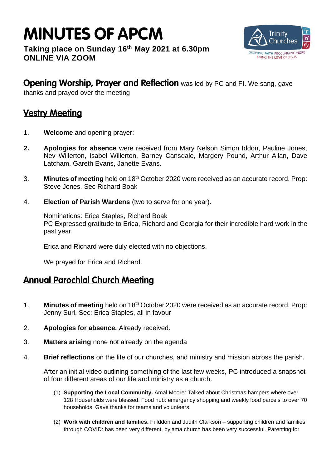# **MINUTES OF APCM**

### **Taking place on Sunday 16 th May 2021 at 6.30pm ONLINE VIA ZOOM**



## Opening Worship, Prayer and Reflection was led by PC and FI. We sang, gave

thanks and prayed over the meeting

## **Vestry Meeting**

- 1. **Welcome** and opening prayer:
- **2. Apologies for absence** were received from Mary Nelson Simon Iddon, Pauline Jones, Nev Willerton, Isabel Willerton, Barney Cansdale, Margery Pound, Arthur Allan, Dave Latcham, Gareth Evans, Janette Evans.
- 3. **Minutes of meeting** held on 18<sup>th</sup> October 2020 were received as an accurate record. Prop: Steve Jones. Sec Richard Boak
- 4. **Election of Parish Wardens** (two to serve for one year).

Nominations: Erica Staples, Richard Boak PC Expressed gratitude to Erica, Richard and Georgia for their incredible hard work in the past year.

Erica and Richard were duly elected with no objections.

We prayed for Erica and Richard.

## **Annual Parochial Church Meeting**

- 1. **Minutes of meeting** held on 18<sup>th</sup> October 2020 were received as an accurate record. Prop: Jenny Surl, Sec: Erica Staples, all in favour
- 2. **Apologies for absence.** Already received.
- 3. **Matters arising** none not already on the agenda
- 4. **Brief reflections** on the life of our churches, and ministry and mission across the parish.

After an initial video outlining something of the last few weeks, PC introduced a snapshot of four different areas of our life and ministry as a church.

- (1) **Supporting the Local Community.** Amal Moore: Talked about Christmas hampers where over 128 Households were blessed. Food hub: emergency shopping and weekly food parcels to over 70 households. Gave thanks for teams and volunteers
- (2) **Work with children and families.** Fi Iddon and Judith Clarkson supporting children and families through COVID: has been very different, pyjama church has been very successful. Parenting for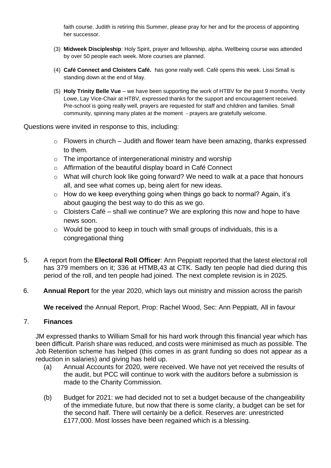faith course. Judith is retiring this Summer, please pray for her and for the process of appointing her successor.

- (3) **Midweek Discipleship**: Holy Spirit, prayer and fellowship, alpha. Wellbeing course was attended by over 50 people each week. More courses are planned.
- (4) **Café Connect and Cloisters Café.** has gone really well. Café opens this week. Lissi Small is standing down at the end of May.
- (5) **Holy Trinity Belle Vue** we have been supporting the work of HTBV for the past 9 months. Verity Lowe, Lay Vice-Chair at HTBV, expressed thanks for the support and encouragement received. Pre-school is going really well, prayers are requested for staff and children and families. Small community, spinning many plates at the moment - prayers are gratefully welcome.

Questions were invited in response to this, including:

- $\circ$  Flowers in church Judith and flower team have been amazing, thanks expressed to them.
- o The importance of intergenerational ministry and worship
- o Affirmation of the beautiful display board in Café Connect
- o What will church look like going forward? We need to walk at a pace that honours all, and see what comes up, being alert for new ideas.
- o How do we keep everything going when things go back to normal? Again, it's about gauging the best way to do this as we go.
- $\circ$  Cloisters Café shall we continue? We are exploring this now and hope to have news soon.
- o Would be good to keep in touch with small groups of individuals, this is a congregational thing
- 5. A report from the **Electoral Roll Officer**: Ann Peppiatt reported that the latest electoral roll has 379 members on it; 336 at HTMB,43 at CTK. Sadly ten people had died during this period of the roll, and ten people had joined. The next complete revision is in 2025.
- 6. **Annual Report** for the year 2020, which lays out ministry and mission across the parish

**We received** the Annual Report, Prop: Rachel Wood, Sec: Ann Peppiatt, All in favour

#### 7. **Finances**

JM expressed thanks to William Small for his hard work through this financial year which has been difficult. Parish share was reduced, and costs were minimised as much as possible. The Job Retention scheme has helped (this comes in as grant funding so does not appear as a reduction in salaries) and giving has held up.

- (a) Annual Accounts for 2020, were received. We have not yet received the results of the audit, but PCC will continue to work with the auditors before a submission is made to the Charity Commission.
- (b) Budget for 2021: we had decided not to set a budget because of the changeability of the immediate future, but now that there is some clarity, a budget can be set for the second half. There will certainly be a deficit. Reserves are: unrestricted £177,000. Most losses have been regained which is a blessing.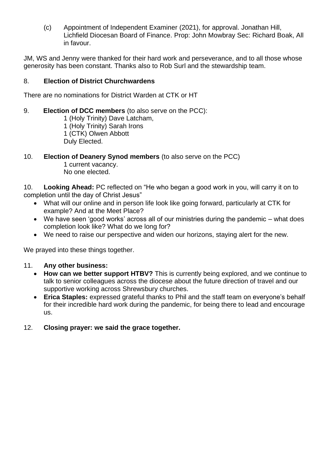(c) Appointment of Independent Examiner (2021), for approval. Jonathan Hill, Lichfield Diocesan Board of Finance. Prop: John Mowbray Sec: Richard Boak, All in favour.

JM, WS and Jenny were thanked for their hard work and perseverance, and to all those whose generosity has been constant. Thanks also to Rob Surl and the stewardship team.

#### 8. **Election of District Churchwardens**

There are no nominations for District Warden at CTK or HT

9. **Election of DCC members** (to also serve on the PCC):

1 (Holy Trinity) Dave Latcham, 1 (Holy Trinity) Sarah Irons 1 (CTK) Olwen Abbott Duly Elected.

#### 10. **Election of Deanery Synod members** (to also serve on the PCC)

1 current vacancy. No one elected.

10. **Looking Ahead:** PC reflected on "He who began a good work in you, will carry it on to completion until the day of Christ Jesus"

- What will our online and in person life look like going forward, particularly at CTK for example? And at the Meet Place?
- We have seen 'good works' across all of our ministries during the pandemic what does completion look like? What do we long for?
- We need to raise our perspective and widen our horizons, staying alert for the new.

We prayed into these things together.

#### 11. **Any other business:**

- **How can we better support HTBV?** This is currently being explored, and we continue to talk to senior colleagues across the diocese about the future direction of travel and our supportive working across Shrewsbury churches.
- **Erica Staples:** expressed grateful thanks to Phil and the staff team on everyone's behalf for their incredible hard work during the pandemic, for being there to lead and encourage us.

#### 12. **Closing prayer: we said the grace together.**